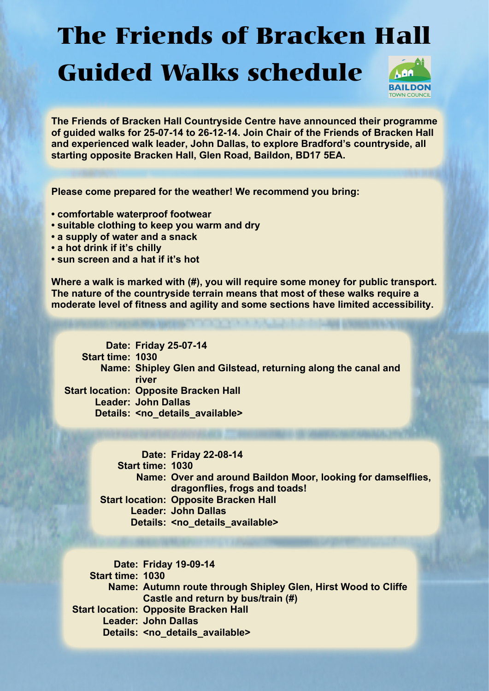## The Friends of Bracken Hall Guided Walks schedule



**The Friends of Bracken Hall Countryside Centre have announced their programme of guided walks for 25-07-14 to 26-12-14. Join Chair of the Friends of Bracken Hall and experienced walk leader, John Dallas, to explore Bradford's countryside, all starting opposite Bracken Hall, Glen Road, Baildon, BD17 5EA.**

**Please come prepared for the weather! We recommend you bring:**

- **comfortable waterproof footwear**
- **suitable clothing to keep you warm and dry**
- **a supply of water and a snack**
- **a hot drink if it's chilly**
- **sun screen and a hat if it's hot**

**Where a walk is marked with (#), you will require some money for public transport. The nature of the countryside terrain means that most of these walks require a moderate level of fitness and agility and some sections have limited accessibility.**

**Date: Friday 25-07-14 Start time: 1030 Name: Shipley Glen and Gilstead, returning along the canal and Start location: Opposite Bracken Hall Leader: John Dallas** Details: <no\_details\_available> **river**

> **Date: Friday 22-08-14 Start time: 1030 Name: Over and around Baildon Moor, looking for damselflies, Start location: Opposite Bracken Hall Leader: John Dallas** Details: <no\_details\_available> **dragonflies, frogs and toads!**

**Date: Friday 19-09-14 Start time: 1030 Name: Autumn route through Shipley Glen, Hirst Wood to Cliffe Start location: Opposite Bracken Hall Leader: John Dallas** Details: <no\_details\_available> **Castle and return by bus/train (#)**